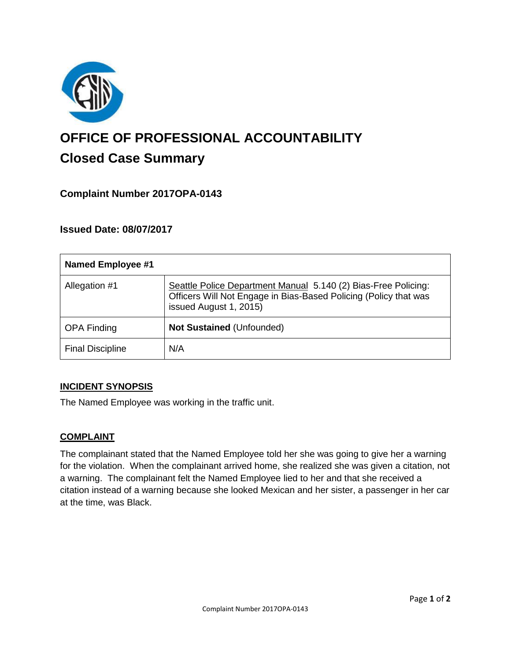

# **OFFICE OF PROFESSIONAL ACCOUNTABILITY Closed Case Summary**

# **Complaint Number 2017OPA-0143**

# **Issued Date: 08/07/2017**

| <b>Named Employee #1</b> |                                                                                                                                                              |
|--------------------------|--------------------------------------------------------------------------------------------------------------------------------------------------------------|
| Allegation #1            | Seattle Police Department Manual 5.140 (2) Bias-Free Policing:<br>Officers Will Not Engage in Bias-Based Policing (Policy that was<br>issued August 1, 2015) |
| <b>OPA Finding</b>       | <b>Not Sustained (Unfounded)</b>                                                                                                                             |
| <b>Final Discipline</b>  | N/A                                                                                                                                                          |

#### **INCIDENT SYNOPSIS**

The Named Employee was working in the traffic unit.

#### **COMPLAINT**

The complainant stated that the Named Employee told her she was going to give her a warning for the violation. When the complainant arrived home, she realized she was given a citation, not a warning. The complainant felt the Named Employee lied to her and that she received a citation instead of a warning because she looked Mexican and her sister, a passenger in her car at the time, was Black.